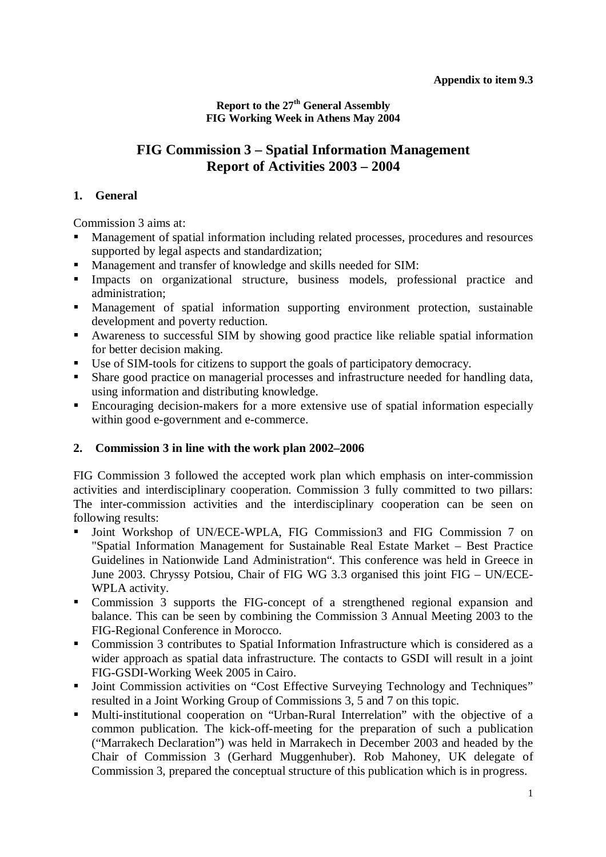**Report to the 27th General Assembly FIG Working Week in Athens May 2004** 

# **FIG Commission 3 – Spatial Information Management Report of Activities 2003 – 2004**

# **1. General**

Commission 3 aims at:

- Management of spatial information including related processes, procedures and resources supported by legal aspects and standardization;
- Management and transfer of knowledge and skills needed for SIM:
- Impacts on organizational structure, business models, professional practice and administration;
- Management of spatial information supporting environment protection, sustainable development and poverty reduction.
- Awareness to successful SIM by showing good practice like reliable spatial information for better decision making.
- Use of SIM-tools for citizens to support the goals of participatory democracy.
- Share good practice on managerial processes and infrastructure needed for handling data, using information and distributing knowledge.
- Encouraging decision-makers for a more extensive use of spatial information especially within good e-government and e-commerce.

# **2. Commission 3 in line with the work plan 2002–2006**

FIG Commission 3 followed the accepted work plan which emphasis on inter-commission activities and interdisciplinary cooperation. Commission 3 fully committed to two pillars: The inter-commission activities and the interdisciplinary cooperation can be seen on following results:

- Joint Workshop of UN/ECE-WPLA, FIG Commission3 and FIG Commission 7 on "Spatial Information Management for Sustainable Real Estate Market – Best Practice Guidelines in Nationwide Land Administration". This conference was held in Greece in June 2003. Chryssy Potsiou, Chair of FIG WG 3.3 organised this joint FIG – UN/ECE-WPLA activity.
- Commission 3 supports the FIG-concept of a strengthened regional expansion and balance. This can be seen by combining the Commission 3 Annual Meeting 2003 to the FIG-Regional Conference in Morocco.
- Commission 3 contributes to Spatial Information Infrastructure which is considered as a wider approach as spatial data infrastructure. The contacts to GSDI will result in a joint FIG-GSDI-Working Week 2005 in Cairo.
- **Joint Commission activities on "Cost Effective Surveying Technology and Techniques"** resulted in a Joint Working Group of Commissions 3, 5 and 7 on this topic.
- Multi-institutional cooperation on "Urban-Rural Interrelation" with the objective of a common publication. The kick-off-meeting for the preparation of such a publication ("Marrakech Declaration") was held in Marrakech in December 2003 and headed by the Chair of Commission 3 (Gerhard Muggenhuber). Rob Mahoney, UK delegate of Commission 3, prepared the conceptual structure of this publication which is in progress.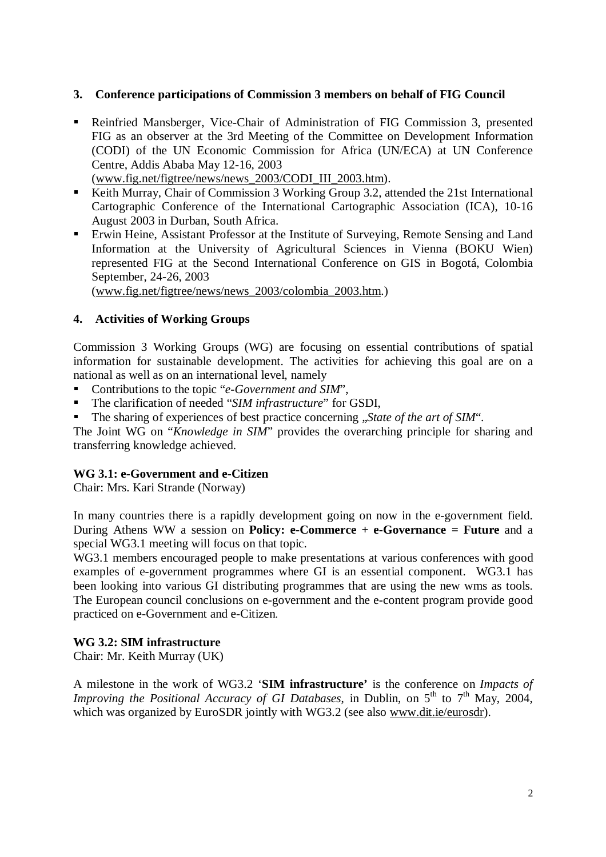#### **3. Conference participations of Commission 3 members on behalf of FIG Council**

- Reinfried Mansberger, Vice-Chair of Administration of FIG Commission 3, presented FIG as an observer at the 3rd Meeting of the Committee on Development Information (CODI) of the UN Economic Commission for Africa (UN/ECA) at UN Conference Centre, Addis Ababa May 12-16, 2003
	- (www.fig.net/figtree/news/news\_2003/CODI\_III\_2003.htm).
- Keith Murray, Chair of Commission 3 Working Group 3.2, attended the 21st International Cartographic Conference of the International Cartographic Association (ICA), 10-16 August 2003 in Durban, South Africa.
- Erwin Heine, Assistant Professor at the Institute of Surveying, Remote Sensing and Land Information at the University of Agricultural Sciences in Vienna (BOKU Wien) represented FIG at the Second International Conference on GIS in Bogotá, Colombia September, 24-26, 2003

(www.fig.net/figtree/news/news\_2003/colombia\_2003.htm.)

# **4. Activities of Working Groups**

Commission 3 Working Groups (WG) are focusing on essential contributions of spatial information for sustainable development. The activities for achieving this goal are on a national as well as on an international level, namely

- Contributions to the topic "*e-Government and SIM*",
- The clarification of needed "*SIM infrastructure*" for GSDI,
- The sharing of experiences of best practice concerning "*State of the art of SIM*".

The Joint WG on "*Knowledge in SIM*" provides the overarching principle for sharing and transferring knowledge achieved.

# **WG 3.1: e-Government and e-Citizen**

Chair: Mrs. Kari Strande (Norway)

In many countries there is a rapidly development going on now in the e-government field. During Athens WW a session on **Policy: e-Commerce + e-Governance = Future** and a special WG3.1 meeting will focus on that topic.

WG3.1 members encouraged people to make presentations at various conferences with good examples of e-government programmes where GI is an essential component. WG3.1 has been looking into various GI distributing programmes that are using the new wms as tools. The European council conclusions on e-government and the e-content program provide good practiced on e-Government and e-Citizen.

#### **WG 3.2: SIM infrastructure**

Chair: Mr. Keith Murray (UK)

A milestone in the work of WG3.2 '**SIM infrastructure'** is the conference on *Impacts of Improving the Positional Accuracy of GI Databases*, in Dublin, on 5<sup>th</sup> to 7<sup>th</sup> May, 2004, which was organized by EuroSDR jointly with WG3.2 (see also www.dit.ie/eurosdr).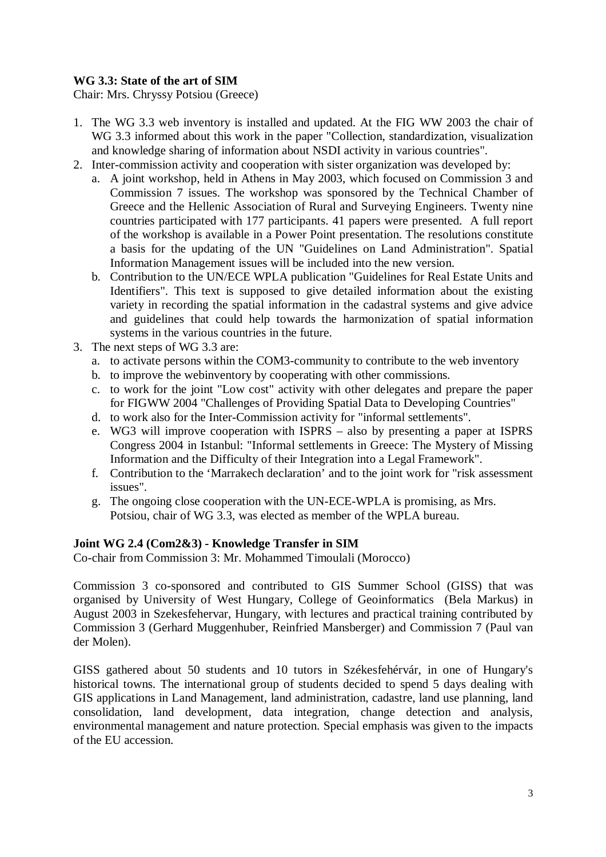# **WG 3.3: State of the art of SIM**

Chair: Mrs. Chryssy Potsiou (Greece)

- 1. The WG 3.3 web inventory is installed and updated. At the FIG WW 2003 the chair of WG 3.3 informed about this work in the paper "Collection, standardization, visualization and knowledge sharing of information about NSDI activity in various countries".
- 2. Inter-commission activity and cooperation with sister organization was developed by:
	- a. A joint workshop, held in Athens in May 2003, which focused on Commission 3 and Commission 7 issues. The workshop was sponsored by the Technical Chamber of Greece and the Hellenic Association of Rural and Surveying Engineers. Twenty nine countries participated with 177 participants. 41 papers were presented. A full report of the workshop is available in a Power Point presentation. The resolutions constitute a basis for the updating of the UN "Guidelines on Land Administration". Spatial Information Management issues will be included into the new version.
	- b. Contribution to the UN/ECE WPLA publication "Guidelines for Real Estate Units and Identifiers". This text is supposed to give detailed information about the existing variety in recording the spatial information in the cadastral systems and give advice and guidelines that could help towards the harmonization of spatial information systems in the various countries in the future.
- 3. The next steps of WG 3.3 are:
	- a. to activate persons within the COM3-community to contribute to the web inventory
	- b. to improve the webinventory by cooperating with other commissions.
	- c. to work for the joint "Low cost" activity with other delegates and prepare the paper for FIGWW 2004 "Challenges of Providing Spatial Data to Developing Countries"
	- d. to work also for the Inter-Commission activity for "informal settlements".
	- e. WG3 will improve cooperation with ISPRS also by presenting a paper at ISPRS Congress 2004 in Istanbul: "Informal settlements in Greece: The Mystery of Missing Information and the Difficulty of their Integration into a Legal Framework".
	- f. Contribution to the 'Marrakech declaration' and to the joint work for "risk assessment issues".
	- g. The ongoing close cooperation with the UN-ECE-WPLA is promising, as Mrs. Potsiou, chair of WG 3.3, was elected as member of the WPLA bureau.

# **Joint WG 2.4 (Com2&3) - Knowledge Transfer in SIM**

Co-chair from Commission 3: Mr. Mohammed Timoulali (Morocco)

Commission 3 co-sponsored and contributed to GIS Summer School (GISS) that was organised by University of West Hungary, College of Geoinformatics (Bela Markus) in August 2003 in Szekesfehervar, Hungary, with lectures and practical training contributed by Commission 3 (Gerhard Muggenhuber, Reinfried Mansberger) and Commission 7 (Paul van der Molen).

GISS gathered about 50 students and 10 tutors in Székesfehérvár, in one of Hungary's historical towns. The international group of students decided to spend 5 days dealing with GIS applications in Land Management, land administration, cadastre, land use planning, land consolidation, land development, data integration, change detection and analysis, environmental management and nature protection. Special emphasis was given to the impacts of the EU accession.